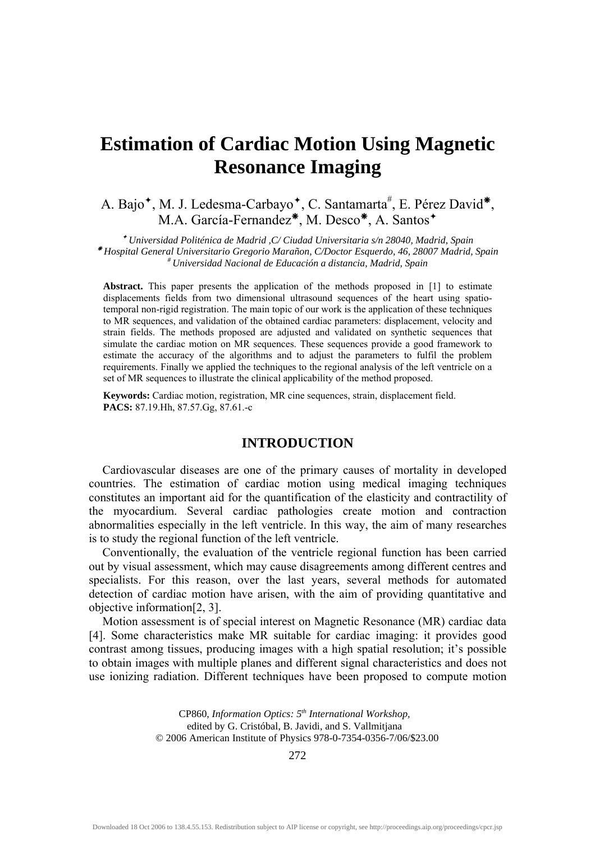# **Estimation of Cardiac Motion Using Magnetic Resonance Imaging**

A. Bajo<sup>\*</sup>, M. J. Ledesma-Carbayo<sup>\*</sup>, C. Santamarta<sup>#</sup>, E. Pérez David<sup>\*</sup>, M.A. García-Fernandez<sup>\*</sup>, M. Desco<sup>\*</sup>, A. Santos<sup>+</sup>

<sup>Ø</sup> *Universidad Politénica de Madrid ,C/ Ciudad Universitaria s/n 28040, Madrid, Spain* <sup>Å</sup> *Hospital General Universitario Gregorio Marañon, C/Doctor Esquerdo, 46, 28007 Madrid, Spain # Universidad Nacional de Educación a distancia, Madrid, Spain* 

**Abstract.** This paper presents the application of the methods proposed in [1] to estimate displacements fields from two dimensional ultrasound sequences of the heart using spatiotemporal non-rigid registration. The main topic of our work is the application of these techniques to MR sequences, and validation of the obtained cardiac parameters: displacement, velocity and strain fields. The methods proposed are adjusted and validated on synthetic sequences that simulate the cardiac motion on MR sequences. These sequences provide a good framework to estimate the accuracy of the algorithms and to adjust the parameters to fulfil the problem requirements. Finally we applied the techniques to the regional analysis of the left ventricle on a set of MR sequences to illustrate the clinical applicability of the method proposed.

**Keywords:** Cardiac motion, registration, MR cine sequences, strain, displacement field. **PACS:** 87.19.Hh, 87.57.Gg, 87.61.-c

# **INTRODUCTION**

Cardiovascular diseases are one of the primary causes of mortality in developed countries. The estimation of cardiac motion using medical imaging techniques constitutes an important aid for the quantification of the elasticity and contractility of the myocardium. Several cardiac pathologies create motion and contraction abnormalities especially in the left ventricle. In this way, the aim of many researches is to study the regional function of the left ventricle.

Conventionally, the evaluation of the ventricle regional function has been carried out by visual assessment, which may cause disagreements among different centres and specialists. For this reason, over the last years, several methods for automated detection of cardiac motion have arisen, with the aim of providing quantitative and objective information[2, 3].

Motion assessment is of special interest on Magnetic Resonance (MR) cardiac data [4]. Some characteristics make MR suitable for cardiac imaging: it provides good contrast among tissues, producing images with a high spatial resolution; it's possible to obtain images with multiple planes and different signal characteristics and does not use ionizing radiation. Different techniques have been proposed to compute motion

> CP860, *Information Optics: 5th International Workshop,*  edited by G. Cristóbal, B. Javidi, and S. Vallmitjana © 2006 American Institute of Physics 978-0-7354-0356-7/06/\$23.00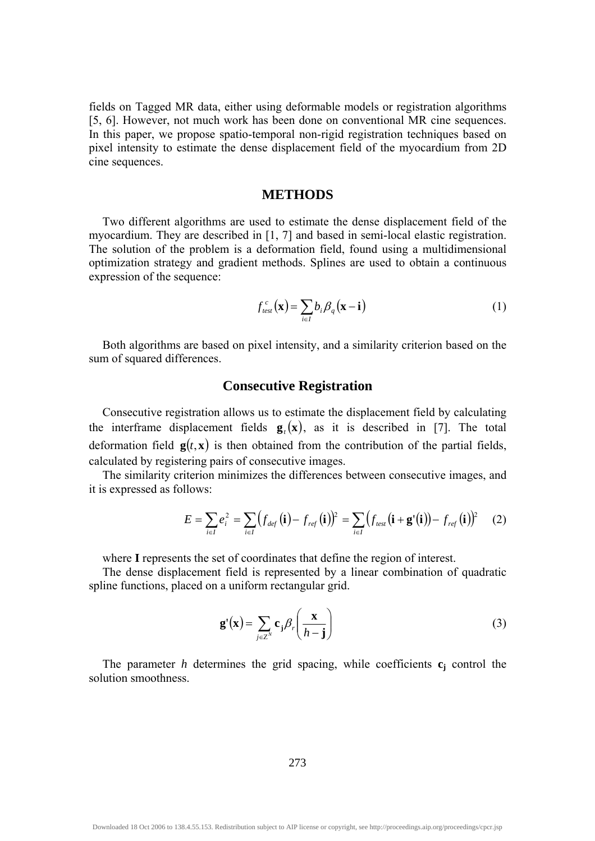fields on Tagged MR data, either using deformable models or registration algorithms [5, 6]. However, not much work has been done on conventional MR cine sequences. In this paper, we propose spatio-temporal non-rigid registration techniques based on pixel intensity to estimate the dense displacement field of the myocardium from 2D cine sequences.

#### **METHODS**

Two different algorithms are used to estimate the dense displacement field of the myocardium. They are described in [1, 7] and based in semi-local elastic registration. The solution of the problem is a deformation field, found using a multidimensional optimization strategy and gradient methods. Splines are used to obtain a continuous expression of the sequence:

$$
f_{test}^c(\mathbf{x}) = \sum_{i \in I} b_i \beta_q(\mathbf{x} - \mathbf{i})
$$
 (1)

Both algorithms are based on pixel intensity, and a similarity criterion based on the sum of squared differences.

# **Consecutive Registration**

Consecutive registration allows us to estimate the displacement field by calculating the interframe displacement fields  $g(x)$ , as it is described in [7]. The total deformation field  $g(t, x)$  is then obtained from the contribution of the partial fields, calculated by registering pairs of consecutive images.

The similarity criterion minimizes the differences between consecutive images, and it is expressed as follows:

$$
E = \sum_{i \in I} e_i^2 = \sum_{i \in I} \left( f_{def}(\mathbf{i}) - f_{ref}(\mathbf{i}) \right)^2 = \sum_{i \in I} \left( f_{test}(\mathbf{i} + \mathbf{g}'(\mathbf{i})) - f_{ref}(\mathbf{i}) \right)^2 \tag{2}
$$

where **I** represents the set of coordinates that define the region of interest.

The dense displacement field is represented by a linear combination of quadratic spline functions, placed on a uniform rectangular grid.

$$
\mathbf{g}'(\mathbf{x}) = \sum_{j \in \mathcal{Z}^N} \mathbf{c}_j \beta_r \left( \frac{\mathbf{x}}{h - \mathbf{j}} \right)
$$
 (3)

The parameter  $h$  determines the grid spacing, while coefficients  $c_j$  control the solution smoothness.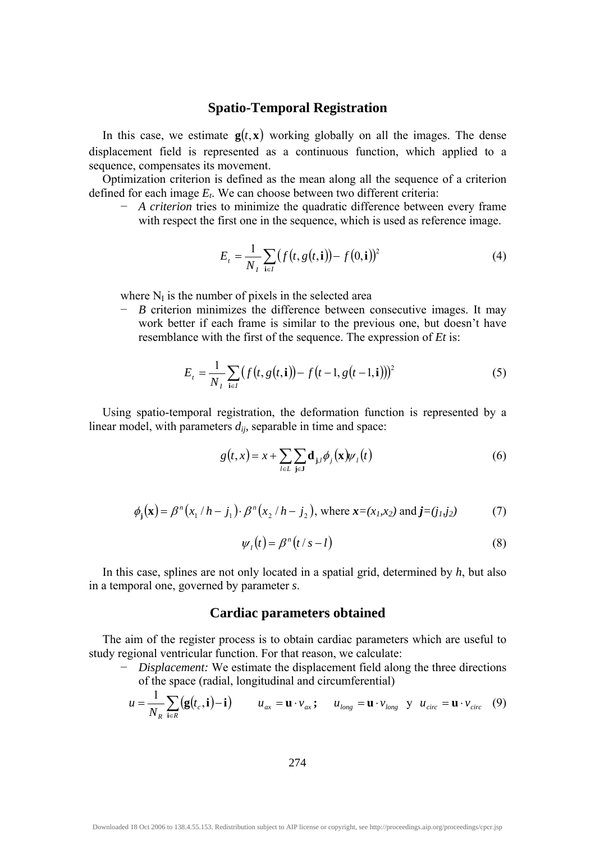# **Spatio-Temporal Registration**

In this case, we estimate  $g(t, x)$  working globally on all the images. The dense displacement field is represented as a continuous function, which applied to a sequence, compensates its movement.

Optimization criterion is defined as the mean along all the sequence of a criterion defined for each image  $E_t$ . We can choose between two different criteria:

− *A criterion* tries to minimize the quadratic difference between every frame with respect the first one in the sequence, which is used as reference image.

$$
E_{t} = \frac{1}{N_{t}} \sum_{i \in I} (f(t, g(t, i)) - f(0, i))^{2}
$$
 (4)

where  $N_I$  is the number of pixels in the selected area

− *B* criterion minimizes the difference between consecutive images. It may work better if each frame is similar to the previous one, but doesn't have resemblance with the first of the sequence. The expression of *Et* is:

$$
E_{t} = \frac{1}{N_{t}} \sum_{i \in I} (f(t, g(t, i)) - f(t - 1, g(t - 1, i)))^{2}
$$
 (5)

Using spatio-temporal registration, the deformation function is represented by a linear model, with parameters *dij,* separable in time and space:

$$
g(t,x) = x + \sum_{l \in L} \sum_{j \in J} \mathbf{d}_{j,l} \phi_j(\mathbf{x}) \psi_l(t)
$$
 (6)

$$
\phi_{j}(\mathbf{x}) = \beta^{n}(x_{1} / h - j_{1}) \cdot \beta^{n}(x_{2} / h - j_{2}), \text{ where } \mathbf{x} = (x_{1}, x_{2}) \text{ and } \mathbf{j} = (j_{1}, j_{2})
$$
 (7)

$$
\psi_l(t) = \beta^n(t/s - l) \tag{8}
$$

In this case, splines are not only located in a spatial grid, determined by *h*, but also in a temporal one, governed by parameter *s*.

#### **Cardiac parameters obtained**

The aim of the register process is to obtain cardiac parameters which are useful to study regional ventricular function. For that reason, we calculate:

− *Displacement:* We estimate the displacement field along the three directions of the space (radial, longitudinal and circumferential)

$$
u = \frac{1}{N_R} \sum_{i \in R} (\mathbf{g}(t_c, \mathbf{i}) - \mathbf{i}) \qquad u_{ax} = \mathbf{u} \cdot v_{ax} \, ; \qquad u_{long} = \mathbf{u} \cdot v_{long} \quad y \quad u_{circ} = \mathbf{u} \cdot v_{circ} \quad (9)
$$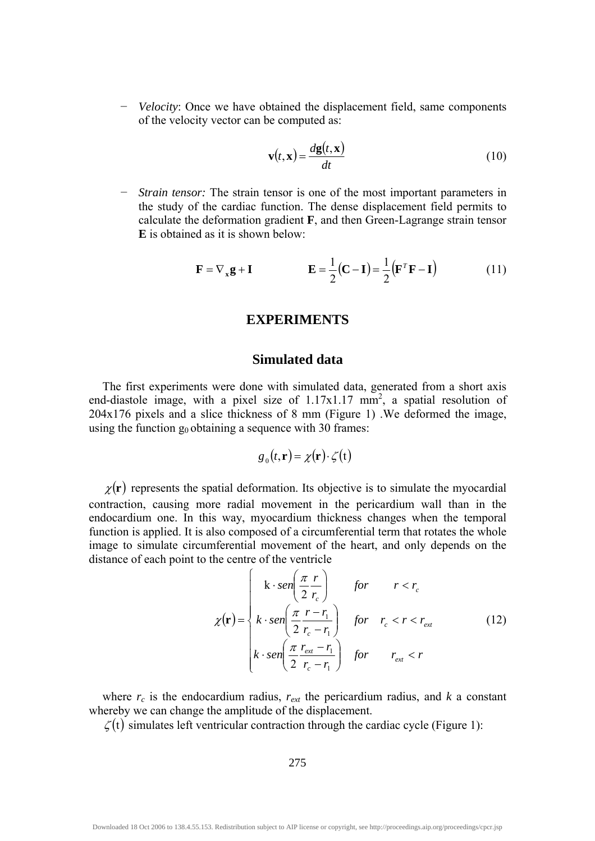− *Velocity*: Once we have obtained the displacement field, same components of the velocity vector can be computed as:

$$
\mathbf{v}(t,\mathbf{x}) = \frac{d\mathbf{g}(t,\mathbf{x})}{dt} \tag{10}
$$

− *Strain tensor:* The strain tensor is one of the most important parameters in the study of the cardiac function. The dense displacement field permits to calculate the deformation gradient **F**, and then Green-Lagrange strain tensor **E** is obtained as it is shown below:

$$
\mathbf{F} = \nabla_{\mathbf{x}} \mathbf{g} + \mathbf{I} \qquad \qquad \mathbf{E} = \frac{1}{2} (\mathbf{C} - \mathbf{I}) = \frac{1}{2} (\mathbf{F}^T \mathbf{F} - \mathbf{I}) \tag{11}
$$

# **EXPERIMENTS**

#### **Simulated data**

The first experiments were done with simulated data, generated from a short axis end-diastole image, with a pixel size of  $1.17x1.17$  mm<sup>2</sup>, a spatial resolution of 204x176 pixels and a slice thickness of 8 mm (Figure 1) .We deformed the image, using the function  $g_0$  obtaining a sequence with 30 frames:

$$
g_0(t,\mathbf{r}) = \chi(\mathbf{r}) \cdot \zeta(t)
$$

 $\chi(\mathbf{r})$  represents the spatial deformation. Its objective is to simulate the myocardial contraction, causing more radial movement in the pericardium wall than in the endocardium one. In this way, myocardium thickness changes when the temporal function is applied. It is also composed of a circumferential term that rotates the whole image to simulate circumferential movement of the heart, and only depends on the distance of each point to the centre of the ventricle

$$
\chi(\mathbf{r}) = \begin{cases} k \cdot \operatorname{sen}\left(\frac{\pi}{2} \frac{r}{r_c}\right) & \text{for} \quad r < r_c \\ k \cdot \operatorname{sen}\left(\frac{\pi}{2} \frac{r - r_1}{r_c - r_1}\right) & \text{for} \quad r_c < r < r_{\text{ext}} \\ k \cdot \operatorname{sen}\left(\frac{\pi}{2} \frac{r_{\text{ext}} - r_1}{r_c - r_1}\right) & \text{for} \quad r_{\text{ext}} < r \end{cases} \tag{12}
$$

where  $r_c$  is the endocardium radius,  $r_{ext}$  the pericardium radius, and  $k$  a constant whereby we can change the amplitude of the displacement.

 $\zeta(t)$  simulates left ventricular contraction through the cardiac cycle (Figure 1):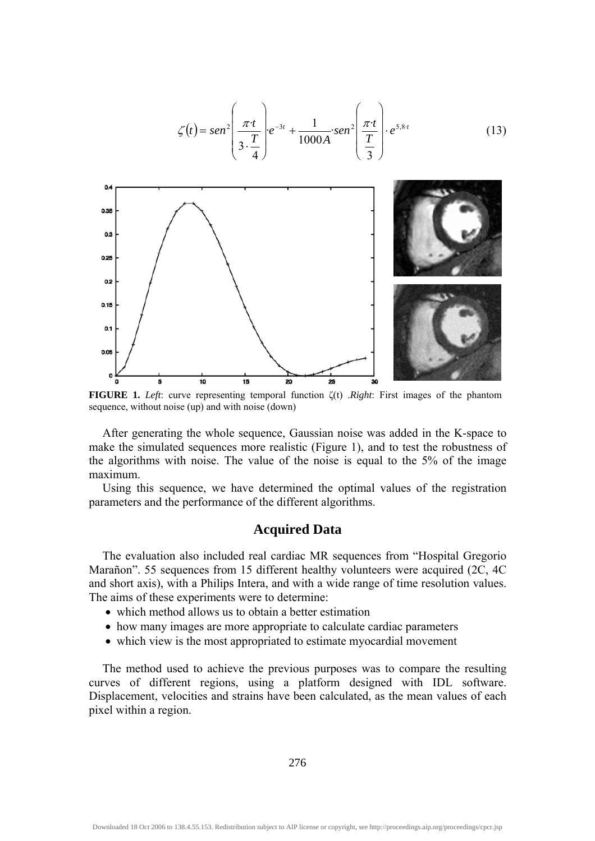$$
\zeta(t) = \operatorname{sen}^{2} \left( \frac{\pi t}{3 \cdot \frac{T}{4}} \right) e^{-3t} + \frac{1}{1000A} \cdot \operatorname{sen}^{2} \left( \frac{\pi t}{\frac{T}{3}} \right) \cdot e^{5.8 \cdot t}
$$
(13)

**FIGURE 1.** *Left*: curve representing temporal function ζ(t) .*Right*: First images of the phantom sequence, without noise (up) and with noise (down)

After generating the whole sequence, Gaussian noise was added in the K-space to make the simulated sequences more realistic (Figure 1), and to test the robustness of the algorithms with noise. The value of the noise is equal to the 5% of the image maximum.

Using this sequence, we have determined the optimal values of the registration parameters and the performance of the different algorithms.

### **Acquired Data**

The evaluation also included real cardiac MR sequences from "Hospital Gregorio Marañon". 55 sequences from 15 different healthy volunteers were acquired (2C, 4C and short axis), with a Philips Intera, and with a wide range of time resolution values. The aims of these experiments were to determine:

- which method allows us to obtain a better estimation
- how many images are more appropriate to calculate cardiac parameters
- which view is the most appropriated to estimate myocardial movement

The method used to achieve the previous purposes was to compare the resulting curves of different regions, using a platform designed with IDL software. Displacement, velocities and strains have been calculated, as the mean values of each pixel within a region.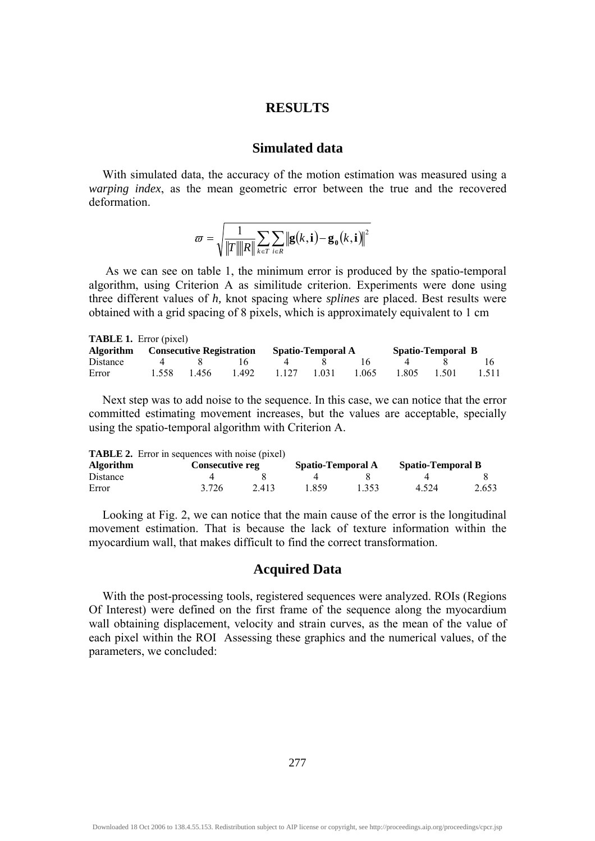# **RESULTS**

## **Simulated data**

With simulated data, the accuracy of the motion estimation was measured using a *warping index*, as the mean geometric error between the true and the recovered deformation.

$$
\varpi = \sqrt{\frac{1}{\|T\| \|R\|} \sum_{k \in T} \sum_{i \in R} \|\mathbf{g}(k, \mathbf{i}) - \mathbf{g}_{\mathbf{0}}(k, \mathbf{i})\|^2}
$$

 As we can see on table 1, the minimum error is produced by the spatio-temporal algorithm, using Criterion A as similitude criterion. Experiments were done using three different values of *h,* knot spacing where *splines* are placed. Best results were obtained with a grid spacing of 8 pixels, which is approximately equivalent to 1 cm

| <b>TABLE 1.</b> Error (pixel)             |       |             |       |         |                   |       |       |                   |       |  |  |  |
|-------------------------------------------|-------|-------------|-------|---------|-------------------|-------|-------|-------------------|-------|--|--|--|
| <b>Algorithm</b> Consecutive Registration |       |             |       |         | Spatio-Temporal A |       |       | Spatio-Temporal B |       |  |  |  |
| Distance                                  | 4     | $\mathbf x$ |       | 4       |                   |       |       |                   |       |  |  |  |
| Error                                     | 1.558 | -1.456      | 1.492 | 1 1 2 7 | 1 0 3 1           | 1.065 | 1.805 | 1.501             | 1.511 |  |  |  |

Next step was to add noise to the sequence. In this case, we can notice that the error committed estimating movement increases, but the values are acceptable, specially using the spatio-temporal algorithm with Criterion A.

|           | <b>TABLE 2.</b> Error in sequences with noise (pixel) |                   |       |                          |       |
|-----------|-------------------------------------------------------|-------------------|-------|--------------------------|-------|
| Algorithm | <b>Consecutive reg</b>                                | Spatio-Temporal A |       | <b>Spatio-Temporal B</b> |       |
| Distance  |                                                       |                   |       |                          |       |
| Error     | 3.726<br>2.413                                        | 1 859             | 1 353 | 4.524                    | 2.653 |

Looking at Fig. 2, we can notice that the main cause of the error is the longitudinal movement estimation. That is because the lack of texture information within the myocardium wall, that makes difficult to find the correct transformation.

# **Acquired Data**

With the post-processing tools, registered sequences were analyzed. ROIs (Regions Of Interest) were defined on the first frame of the sequence along the myocardium wall obtaining displacement, velocity and strain curves, as the mean of the value of each pixel within the ROI Assessing these graphics and the numerical values, of the parameters, we concluded: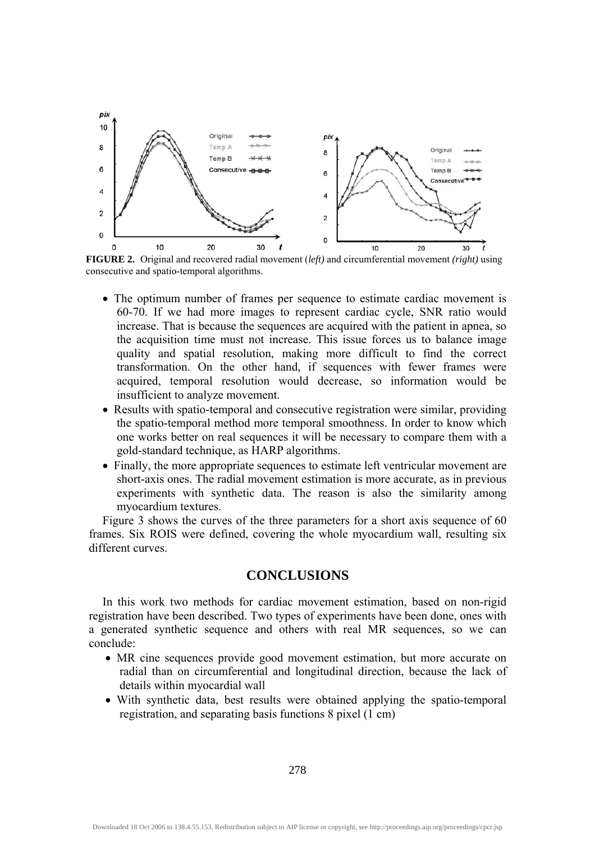

**FIGURE 2.** Original and recovered radial movement (*left)* and circumferential movement *(right)* using consecutive and spatio-temporal algorithms.

- The optimum number of frames per sequence to estimate cardiac movement is 60-70. If we had more images to represent cardiac cycle, SNR ratio would increase. That is because the sequences are acquired with the patient in apnea, so the acquisition time must not increase. This issue forces us to balance image quality and spatial resolution, making more difficult to find the correct transformation. On the other hand, if sequences with fewer frames were acquired, temporal resolution would decrease, so information would be insufficient to analyze movement.
- Results with spatio-temporal and consecutive registration were similar, providing the spatio-temporal method more temporal smoothness. In order to know which one works better on real sequences it will be necessary to compare them with a gold-standard technique, as HARP algorithms.
- Finally, the more appropriate sequences to estimate left ventricular movement are short-axis ones. The radial movement estimation is more accurate, as in previous experiments with synthetic data. The reason is also the similarity among myocardium textures.

Figure 3 shows the curves of the three parameters for a short axis sequence of 60 frames. Six ROIS were defined, covering the whole myocardium wall, resulting six different curves.

## **CONCLUSIONS**

In this work two methods for cardiac movement estimation, based on non-rigid registration have been described. Two types of experiments have been done, ones with a generated synthetic sequence and others with real MR sequences, so we can conclude:

- MR cine sequences provide good movement estimation, but more accurate on radial than on circumferential and longitudinal direction, because the lack of details within myocardial wall
- With synthetic data, best results were obtained applying the spatio-temporal registration, and separating basis functions 8 pixel (1 cm)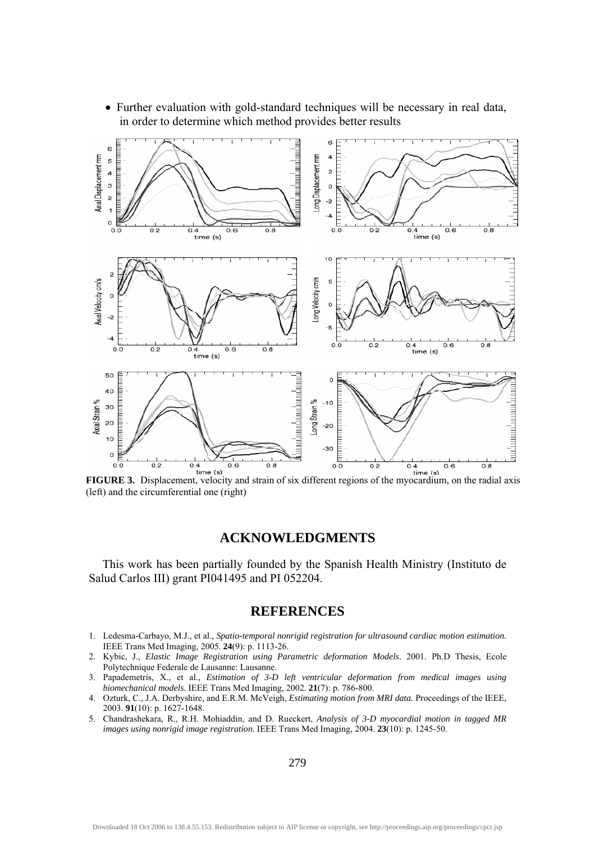

• Further evaluation with gold-standard techniques will be necessary in real data, in order to determine which method provides better results

(left) and the circumferential one (right)

## **ACKNOWLEDGMENTS**

This work has been partially founded by the Spanish Health Ministry (Instituto de Salud Carlos III) grant PI041495 and PI 052204.

#### **REFERENCES**

- 1. Ledesma-Carbayo, M.J., et al., *Spatio-temporal nonrigid registration for ultrasound cardiac motion estimation.* IEEE Trans Med Imaging, 2005. **24**(9): p. 1113-26.
- 2. Kybic, J., *Elastic Image Registration using Parametric deformation Models*. 2001. Ph.D Thesis, Ecole Polytechnique Federale de Lausanne: Lausanne.
- 3. Papademetris, X., et al., *Estimation of 3-D left ventricular deformation from medical images using biomechanical models.* IEEE Trans Med Imaging, 2002. **21**(7): p. 786-800.
- 4. Ozturk, C., J.A. Derbyshire, and E.R.M. McVeigh, *Estimating motion from MRI data.* Proceedings of the IEEE, 2003. **91**(10): p. 1627-1648.
- 5. Chandrashekara, R., R.H. Mohiaddin, and D. Rueckert, *Analysis of 3-D myocardial motion in tagged MR images using nonrigid image registration.* IEEE Trans Med Imaging, 2004. **23**(10): p. 1245-50.